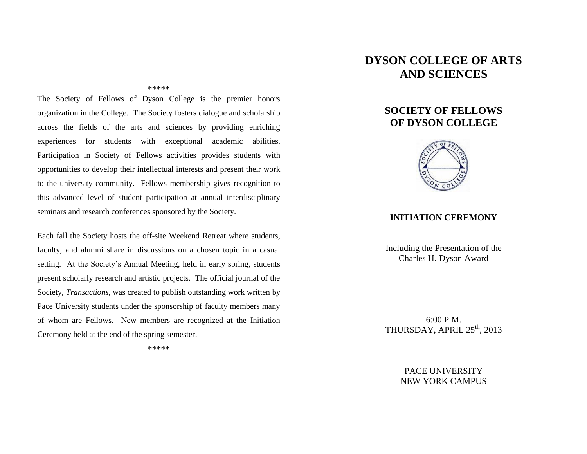#### \*\*\*\*\*

The Society of Fellows of Dyson College is the premier honors organization in the College. The Society fosters dialogue and scholarship across the fields of the arts and sciences by providing enriching experiences for students with exceptional academic abilities. Participation in Society of Fellows activities provides students with opportunities to develop their intellectual interests and present their work to the university community. Fellows membership gives recognition to this advanced level of student participation at annual interdisciplinary seminars and research conferences sponsored by the Society.

Each fall the Society hosts the off-site Weekend Retreat where students, faculty, and alumni share in discussions on a chosen topic in a casual setting. At the Society's Annual Meeting, held in early spring, students present scholarly research and artistic projects. The official journal of the Society, *Transactions*, was created to publish outstanding work written by Pace University students under the sponsorship of faculty members many of whom are Fellows. New members are recognized at the Initiation Ceremony held at the end of the spring semester.

\*\*\*\*\*

# **DYSON COLLEGE OF ARTS AND SCIENCES**

## **SOCIETY OF FELLOWS OF DYSON COLLEGE**



#### **INITIATION CEREMONY**

Including the Presentation of the Charles H. Dyson Award

6:00 P.M. THURSDAY, APRIL 25<sup>th</sup>, 2013

> PACE UNIVERSITY NEW YORK CAMPUS